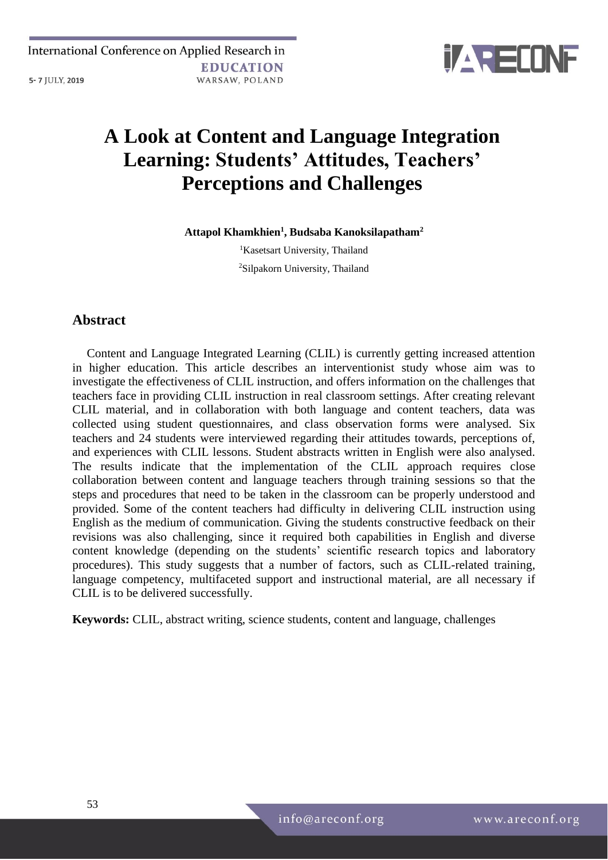

# **A Look at Content and Language Integration Learning: Students' Attitudes, Teachers' Perceptions and Challenges**

**Attapol Khamkhien<sup>1</sup> , Budsaba Kanoksilapatham<sup>2</sup>**

<sup>1</sup>Kasetsart University, Thailand <sup>2</sup>Silpakorn University, Thailand

# **Abstract**

Content and Language Integrated Learning (CLIL) is currently getting increased attention in higher education. This article describes an interventionist study whose aim was to investigate the effectiveness of CLIL instruction, and offers information on the challenges that teachers face in providing CLIL instruction in real classroom settings. After creating relevant CLIL material, and in collaboration with both language and content teachers, data was collected using student questionnaires, and class observation forms were analysed. Six teachers and 24 students were interviewed regarding their attitudes towards, perceptions of, and experiences with CLIL lessons. Student abstracts written in English were also analysed. The results indicate that the implementation of the CLIL approach requires close collaboration between content and language teachers through training sessions so that the steps and procedures that need to be taken in the classroom can be properly understood and provided. Some of the content teachers had difficulty in delivering CLIL instruction using English as the medium of communication. Giving the students constructive feedback on their revisions was also challenging, since it required both capabilities in English and diverse content knowledge (depending on the students' scientific research topics and laboratory procedures). This study suggests that a number of factors, such as CLIL-related training, language competency, multifaceted support and instructional material, are all necessary if CLIL is to be delivered successfully.

**Keywords:** CLIL, abstract writing, science students, content and language, challenges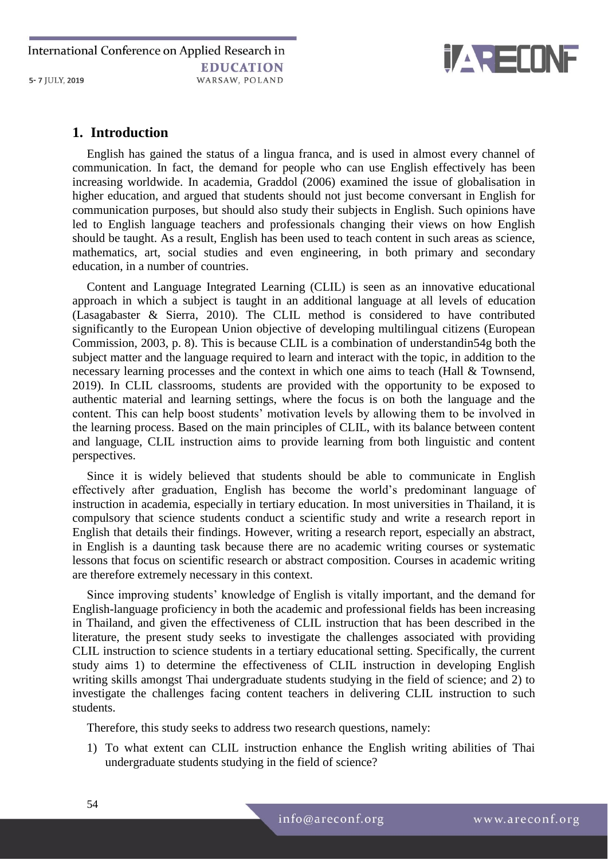International Conference on Applied Research in **EDUCATION** WARSAW, POLAND 5-7 JULY, 2019



## **1. Introduction**

English has gained the status of a lingua franca, and is used in almost every channel of communication. In fact, the demand for people who can use English effectively has been increasing worldwide. In academia, Graddol (2006) examined the issue of globalisation in higher education, and argued that students should not just become conversant in English for communication purposes, but should also study their subjects in English. Such opinions have led to English language teachers and professionals changing their views on how English should be taught. As a result, English has been used to teach content in such areas as science, mathematics, art, social studies and even engineering, in both primary and secondary education, in a number of countries.

Content and Language Integrated Learning (CLIL) is seen as an innovative educational approach in which a subject is taught in an additional language at all levels of education (Lasagabaster & Sierra, 2010). The CLIL method is considered to have contributed significantly to the European Union objective of developing multilingual citizens (European Commission, 2003, p. 8). This is because CLIL is a combination of understandin54g both the subject matter and the language required to learn and interact with the topic, in addition to the necessary learning processes and the context in which one aims to teach (Hall & Townsend, 2019). In CLIL classrooms, students are provided with the opportunity to be exposed to authentic material and learning settings, where the focus is on both the language and the content. This can help boost students' motivation levels by allowing them to be involved in the learning process. Based on the main principles of CLIL, with its balance between content and language, CLIL instruction aims to provide learning from both linguistic and content perspectives.

Since it is widely believed that students should be able to communicate in English effectively after graduation, English has become the world's predominant language of instruction in academia, especially in tertiary education. In most universities in Thailand, it is compulsory that science students conduct a scientific study and write a research report in English that details their findings. However, writing a research report, especially an abstract, in English is a daunting task because there are no academic writing courses or systematic lessons that focus on scientific research or abstract composition. Courses in academic writing are therefore extremely necessary in this context.

Since improving students' knowledge of English is vitally important, and the demand for English-language proficiency in both the academic and professional fields has been increasing in Thailand, and given the effectiveness of CLIL instruction that has been described in the literature, the present study seeks to investigate the challenges associated with providing CLIL instruction to science students in a tertiary educational setting. Specifically, the current study aims 1) to determine the effectiveness of CLIL instruction in developing English writing skills amongst Thai undergraduate students studying in the field of science; and 2) to investigate the challenges facing content teachers in delivering CLIL instruction to such students.

Therefore, this study seeks to address two research questions, namely:

1) To what extent can CLIL instruction enhance the English writing abilities of Thai undergraduate students studying in the field of science?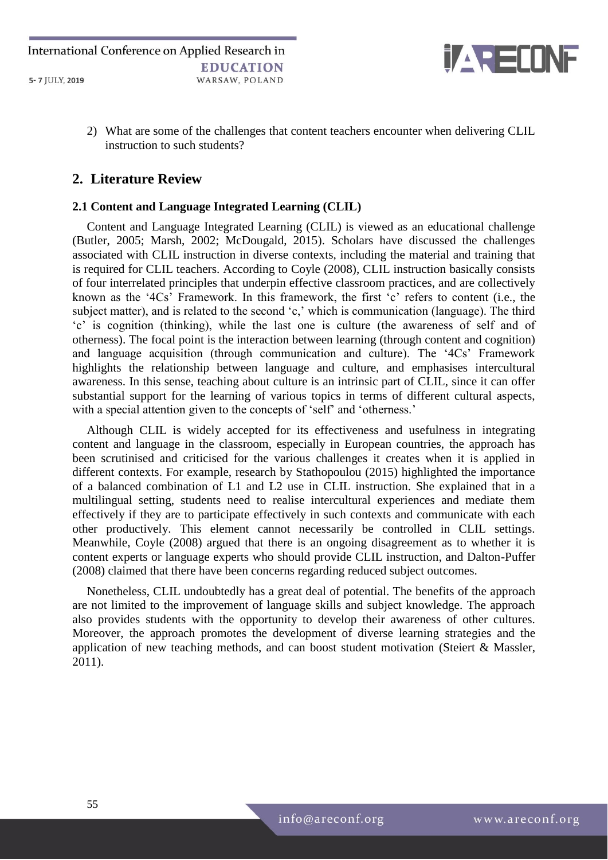

2) What are some of the challenges that content teachers encounter when delivering CLIL instruction to such students?

## **2. Literature Review**

## **2.1 Content and Language Integrated Learning (CLIL)**

Content and Language Integrated Learning (CLIL) is viewed as an educational challenge (Butler, 2005; Marsh, 2002; McDougald, 2015). Scholars have discussed the challenges associated with CLIL instruction in diverse contexts, including the material and training that is required for CLIL teachers. According to Coyle (2008), CLIL instruction basically consists of four interrelated principles that underpin effective classroom practices, and are collectively known as the '4Cs' Framework. In this framework, the first 'c' refers to content (i.e., the subject matter), and is related to the second 'c,' which is communication (language). The third 'c' is cognition (thinking), while the last one is culture (the awareness of self and of otherness). The focal point is the interaction between learning (through content and cognition) and language acquisition (through communication and culture). The '4Cs' Framework highlights the relationship between language and culture, and emphasises intercultural awareness. In this sense, teaching about culture is an intrinsic part of CLIL, since it can offer substantial support for the learning of various topics in terms of different cultural aspects, with a special attention given to the concepts of 'self' and 'otherness.'

Although CLIL is widely accepted for its effectiveness and usefulness in integrating content and language in the classroom, especially in European countries, the approach has been scrutinised and criticised for the various challenges it creates when it is applied in different contexts. For example, research by Stathopoulou (2015) highlighted the importance of a balanced combination of L1 and L2 use in CLIL instruction. She explained that in a multilingual setting, students need to realise intercultural experiences and mediate them effectively if they are to participate effectively in such contexts and communicate with each other productively. This element cannot necessarily be controlled in CLIL settings. Meanwhile, Coyle (2008) argued that there is an ongoing disagreement as to whether it is content experts or language experts who should provide CLIL instruction, and Dalton-Puffer (2008) claimed that there have been concerns regarding reduced subject outcomes.

Nonetheless, CLIL undoubtedly has a great deal of potential. The benefits of the approach are not limited to the improvement of language skills and subject knowledge. The approach also provides students with the opportunity to develop their awareness of other cultures. Moreover, the approach promotes the development of diverse learning strategies and the application of new teaching methods, and can boost student motivation (Steiert & Massler, 2011).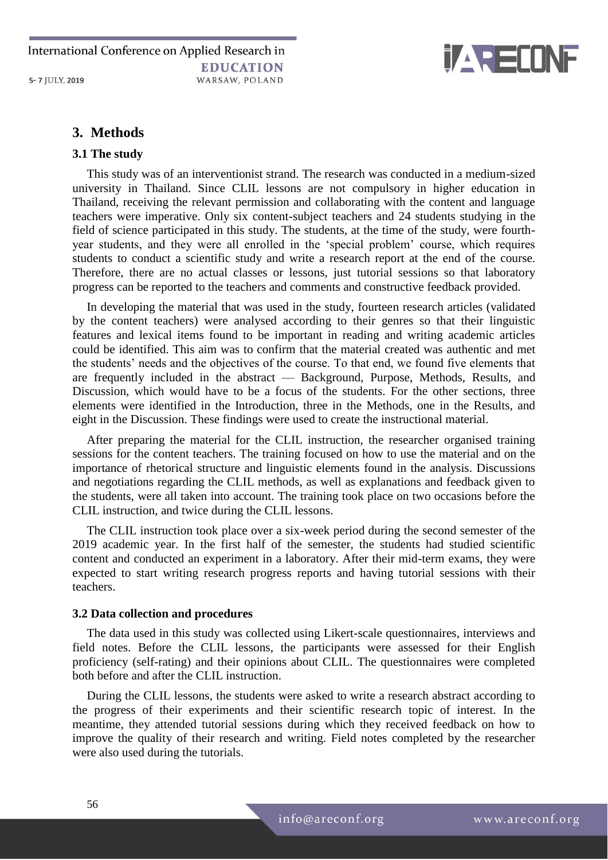

## **3. Methods**

#### **3.1 The study**

This study was of an interventionist strand. The research was conducted in a medium-sized university in Thailand. Since CLIL lessons are not compulsory in higher education in Thailand, receiving the relevant permission and collaborating with the content and language teachers were imperative. Only six content-subject teachers and 24 students studying in the field of science participated in this study. The students, at the time of the study, were fourthyear students, and they were all enrolled in the 'special problem' course, which requires students to conduct a scientific study and write a research report at the end of the course. Therefore, there are no actual classes or lessons, just tutorial sessions so that laboratory progress can be reported to the teachers and comments and constructive feedback provided.

In developing the material that was used in the study, fourteen research articles (validated by the content teachers) were analysed according to their genres so that their linguistic features and lexical items found to be important in reading and writing academic articles could be identified. This aim was to confirm that the material created was authentic and met the students' needs and the objectives of the course. To that end, we found five elements that are frequently included in the abstract — Background, Purpose, Methods, Results, and Discussion, which would have to be a focus of the students. For the other sections, three elements were identified in the Introduction, three in the Methods, one in the Results, and eight in the Discussion. These findings were used to create the instructional material.

After preparing the material for the CLIL instruction, the researcher organised training sessions for the content teachers. The training focused on how to use the material and on the importance of rhetorical structure and linguistic elements found in the analysis. Discussions and negotiations regarding the CLIL methods, as well as explanations and feedback given to the students, were all taken into account. The training took place on two occasions before the CLIL instruction, and twice during the CLIL lessons.

The CLIL instruction took place over a six-week period during the second semester of the 2019 academic year. In the first half of the semester, the students had studied scientific content and conducted an experiment in a laboratory. After their mid-term exams, they were expected to start writing research progress reports and having tutorial sessions with their teachers.

#### **3.2 Data collection and procedures**

The data used in this study was collected using Likert-scale questionnaires, interviews and field notes. Before the CLIL lessons, the participants were assessed for their English proficiency (self-rating) and their opinions about CLIL. The questionnaires were completed both before and after the CLIL instruction.

During the CLIL lessons, the students were asked to write a research abstract according to the progress of their experiments and their scientific research topic of interest. In the meantime, they attended tutorial sessions during which they received feedback on how to improve the quality of their research and writing. Field notes completed by the researcher were also used during the tutorials.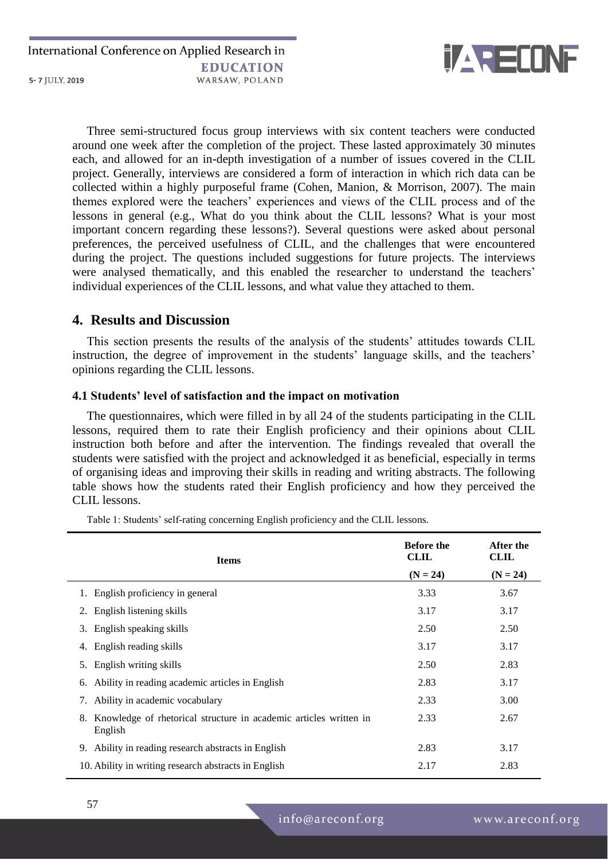

Three semi-structured focus group interviews with six content teachers were conducted around one week after the completion of the project. These lasted approximately 30 minutes each, and allowed for an in-depth investigation of a number of issues covered in the CLIL project. Generally, interviews are considered a form of interaction in which rich data can be collected within a highly purposeful frame (Cohen, Manion, & Morrison, 2007). The main themes explored were the teachers' experiences and views of the CLIL process and of the lessons in general (e.g., What do you think about the CLIL lessons? What is your most important concern regarding these lessons?). Several questions were asked about personal preferences, the perceived usefulness of CLIL, and the challenges that were encountered during the project. The questions included suggestions for future projects. The interviews were analysed thematically, and this enabled the researcher to understand the teachers' individual experiences of the CLIL lessons, and what value they attached to them.

## **4. Results and Discussion**

This section presents the results of the analysis of the students' attitudes towards CLIL instruction, the degree of improvement in the students' language skills, and the teachers' opinions regarding the CLIL lessons.

#### **4.1 Students' level of satisfaction and the impact on motivation**

The questionnaires, which were filled in by all 24 of the students participating in the CLIL lessons, required them to rate their English proficiency and their opinions about CLIL instruction both before and after the intervention. The findings revealed that overall the students were satisfied with the project and acknowledged it as beneficial, especially in terms of organising ideas and improving their skills in reading and writing abstracts. The following table shows how the students rated their English proficiency and how they perceived the CLIL lessons.

**Items Before the CLIL (N = 24) After the CLIL**  $(N = 24)$ 1. English proficiency in general 3.33 3.67 2. English listening skills  $3.17$   $3.17$   $3.17$ 3. English speaking skills 2.50 2.50 2.50 4. English reading skills 3.17 3.17 3.17 5. English writing skills 2.50 2.83 6. Ability in reading academic articles in English 2.83 3.17 7. Ability in academic vocabulary 2.33 3.00 8. Knowledge of rhetorical structure in academic articles written in English 2.33 2.67 9. Ability in reading research abstracts in English 2.83 3.17 10. Ability in writing research abstracts in English 2.17 2.83

Table 1: Students' self-rating concerning English proficiency and the CLIL lessons.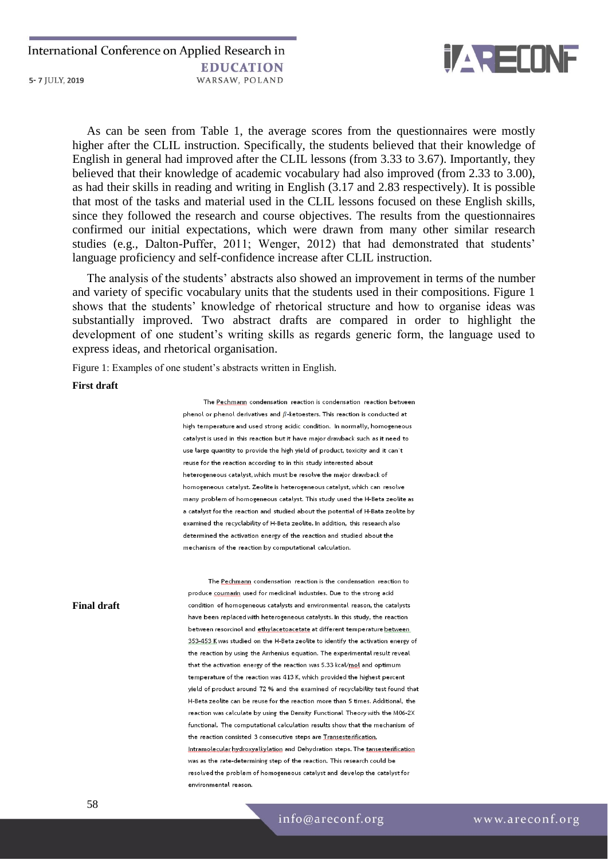

As can be seen from Table 1, the average scores from the questionnaires were mostly higher after the CLIL instruction. Specifically, the students believed that their knowledge of English in general had improved after the CLIL lessons (from 3.33 to 3.67). Importantly, they believed that their knowledge of academic vocabulary had also improved (from 2.33 to 3.00), as had their skills in reading and writing in English (3.17 and 2.83 respectively). It is possible that most of the tasks and material used in the CLIL lessons focused on these English skills, since they followed the research and course objectives. The results from the questionnaires confirmed our initial expectations, which were drawn from many other similar research studies (e.g., Dalton-Puffer, 2011; Wenger, 2012) that had demonstrated that students' language proficiency and self-confidence increase after CLIL instruction.

The analysis of the students' abstracts also showed an improvement in terms of the number and variety of specific vocabulary units that the students used in their compositions. Figure 1 shows that the students' knowledge of rhetorical structure and how to organise ideas was substantially improved. Two abstract drafts are compared in order to highlight the development of one student's writing skills as regards generic form, the language used to express ideas, and rhetorical organisation.

Figure 1: Examples of one student's abstracts written in English.

#### **First draft**

The Pechmann condensation reaction is condensation reaction between phenol or phenol derivatives and  $\beta$ -ketoesters. This reaction is conducted at high temperature and used strong acidic condition. In normally, homogeneous catalyst is used in this reaction but it have major drawback such as it need to use large quantity to provide the high yield of product, toxicity and it can't reuse for the reaction according to in this study interested about heterogeneous catalyst, which must be resolve the major drawback of homogeneous catalyst. Zeolite is heterogeneous catalyst, which can resolve many problem of homogeneous catalyst. This study used the H-Beta zeolite as a catalyst for the reaction and studied about the potential of H-Bata zeolite by examined the recyclability of H-Beta zeolite. In addition, this research also determined the activation energy of the reaction and studied about the mechanism of the reaction by computational calculation.

The Pechmann condensation reaction is the condensation reaction to produce coumarin used for medicinal industries. Due to the strong acid condition of homogeneous catalysts and environmental reason, the catalysts have been replaced with heterogeneous catalysts. In this study, the reaction between resorcinol and ethylacetoacetate at different temperature between 353-453 K was studied on the H-Beta zeolite to identify the activation energy of the reaction by using the Arrhenius equation. The experimental result reveal that the activation energy of the reaction was 5.33 kcal/mol and optimum temperature of the reaction was 413 K, which provided the highest percent yield of product around 72 % and the examined of recyclability test found that H-Beta zeolite can be reuse for the reaction more than 5 times. Additional, the reaction was calculate by using the Density Functional Theory with the M06-2X functional. The computational calculation results show that the mechanism of the reaction consisted 3 consecutive steps are Transesterification, Intramolecular hydroxyalkylation and Dehydration steps. The tansesterification was as the rate-determining step of the reaction. This research could be resolved the problem of homogeneous catalyst and develop the catalyst for environmental reason

#### **Final draft**

info@areconf.org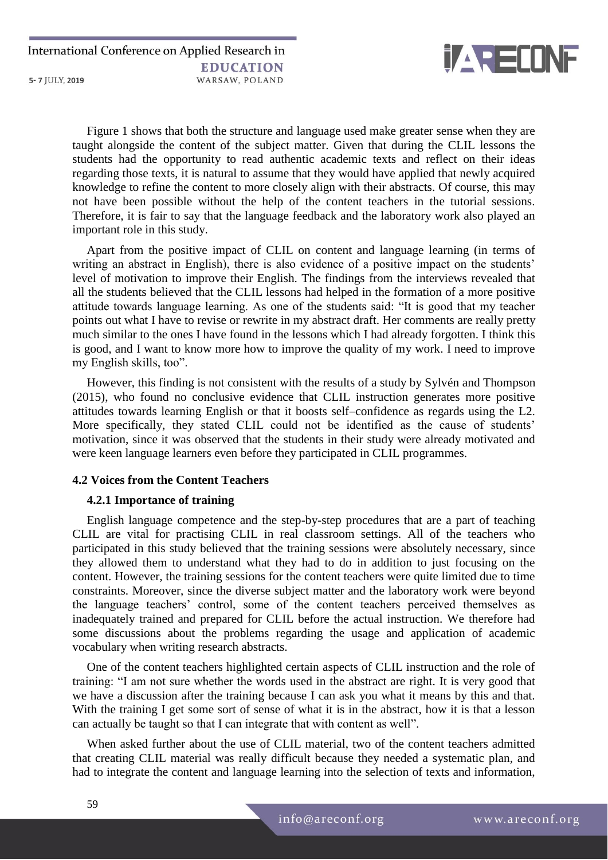

Figure 1 shows that both the structure and language used make greater sense when they are taught alongside the content of the subject matter. Given that during the CLIL lessons the students had the opportunity to read authentic academic texts and reflect on their ideas regarding those texts, it is natural to assume that they would have applied that newly acquired knowledge to refine the content to more closely align with their abstracts. Of course, this may not have been possible without the help of the content teachers in the tutorial sessions. Therefore, it is fair to say that the language feedback and the laboratory work also played an important role in this study.

Apart from the positive impact of CLIL on content and language learning (in terms of writing an abstract in English), there is also evidence of a positive impact on the students' level of motivation to improve their English. The findings from the interviews revealed that all the students believed that the CLIL lessons had helped in the formation of a more positive attitude towards language learning. As one of the students said: "It is good that my teacher points out what I have to revise or rewrite in my abstract draft. Her comments are really pretty much similar to the ones I have found in the lessons which I had already forgotten. I think this is good, and I want to know more how to improve the quality of my work. I need to improve my English skills, too".

However, this finding is not consistent with the results of a study by Sylvén and Thompson (2015), who found no conclusive evidence that CLIL instruction generates more positive attitudes towards learning English or that it boosts self–confidence as regards using the L2. More specifically, they stated CLIL could not be identified as the cause of students' motivation, since it was observed that the students in their study were already motivated and were keen language learners even before they participated in CLIL programmes.

## **4.2 Voices from the Content Teachers**

## **4.2.1 Importance of training**

English language competence and the step-by-step procedures that are a part of teaching CLIL are vital for practising CLIL in real classroom settings. All of the teachers who participated in this study believed that the training sessions were absolutely necessary, since they allowed them to understand what they had to do in addition to just focusing on the content. However, the training sessions for the content teachers were quite limited due to time constraints. Moreover, since the diverse subject matter and the laboratory work were beyond the language teachers' control, some of the content teachers perceived themselves as inadequately trained and prepared for CLIL before the actual instruction. We therefore had some discussions about the problems regarding the usage and application of academic vocabulary when writing research abstracts.

One of the content teachers highlighted certain aspects of CLIL instruction and the role of training: "I am not sure whether the words used in the abstract are right. It is very good that we have a discussion after the training because I can ask you what it means by this and that. With the training I get some sort of sense of what it is in the abstract, how it is that a lesson can actually be taught so that I can integrate that with content as well".

When asked further about the use of CLIL material, two of the content teachers admitted that creating CLIL material was really difficult because they needed a systematic plan, and had to integrate the content and language learning into the selection of texts and information,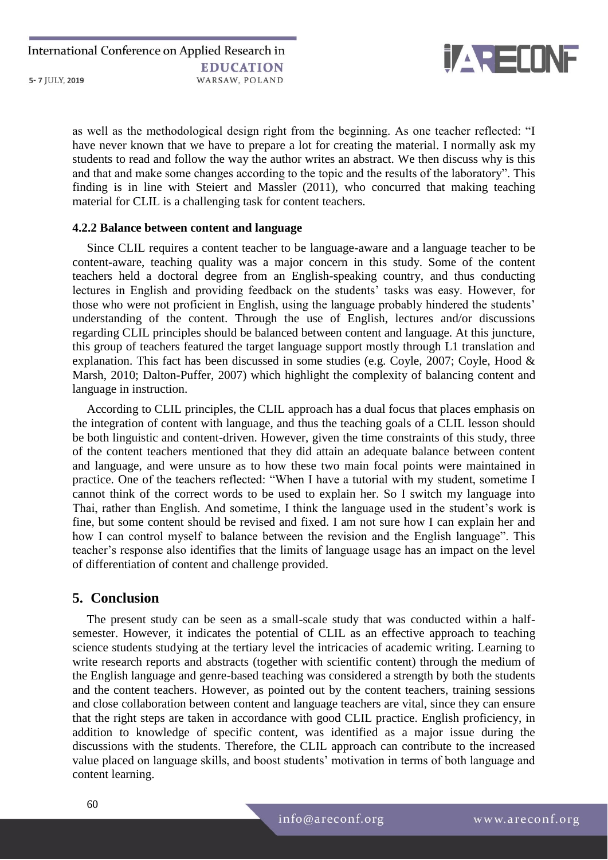

as well as the methodological design right from the beginning. As one teacher reflected: "I have never known that we have to prepare a lot for creating the material. I normally ask my students to read and follow the way the author writes an abstract. We then discuss why is this and that and make some changes according to the topic and the results of the laboratory". This finding is in line with Steiert and Massler (2011), who concurred that making teaching material for CLIL is a challenging task for content teachers.

#### **4.2.2 Balance between content and language**

Since CLIL requires a content teacher to be language-aware and a language teacher to be content-aware, teaching quality was a major concern in this study. Some of the content teachers held a doctoral degree from an English-speaking country, and thus conducting lectures in English and providing feedback on the students' tasks was easy. However, for those who were not proficient in English, using the language probably hindered the students' understanding of the content. Through the use of English, lectures and/or discussions regarding CLIL principles should be balanced between content and language. At this juncture, this group of teachers featured the target language support mostly through L1 translation and explanation. This fact has been discussed in some studies (e.g. Coyle, 2007; Coyle, Hood & Marsh, 2010; Dalton-Puffer, 2007) which highlight the complexity of balancing content and language in instruction.

According to CLIL principles, the CLIL approach has a dual focus that places emphasis on the integration of content with language, and thus the teaching goals of a CLIL lesson should be both linguistic and content-driven. However, given the time constraints of this study, three of the content teachers mentioned that they did attain an adequate balance between content and language, and were unsure as to how these two main focal points were maintained in practice. One of the teachers reflected: "When I have a tutorial with my student, sometime I cannot think of the correct words to be used to explain her. So I switch my language into Thai, rather than English. And sometime, I think the language used in the student's work is fine, but some content should be revised and fixed. I am not sure how I can explain her and how I can control myself to balance between the revision and the English language". This teacher's response also identifies that the limits of language usage has an impact on the level of differentiation of content and challenge provided.

## **5. Conclusion**

The present study can be seen as a small-scale study that was conducted within a halfsemester. However, it indicates the potential of CLIL as an effective approach to teaching science students studying at the tertiary level the intricacies of academic writing. Learning to write research reports and abstracts (together with scientific content) through the medium of the English language and genre-based teaching was considered a strength by both the students and the content teachers. However, as pointed out by the content teachers, training sessions and close collaboration between content and language teachers are vital, since they can ensure that the right steps are taken in accordance with good CLIL practice. English proficiency, in addition to knowledge of specific content, was identified as a major issue during the discussions with the students. Therefore, the CLIL approach can contribute to the increased value placed on language skills, and boost students' motivation in terms of both language and content learning.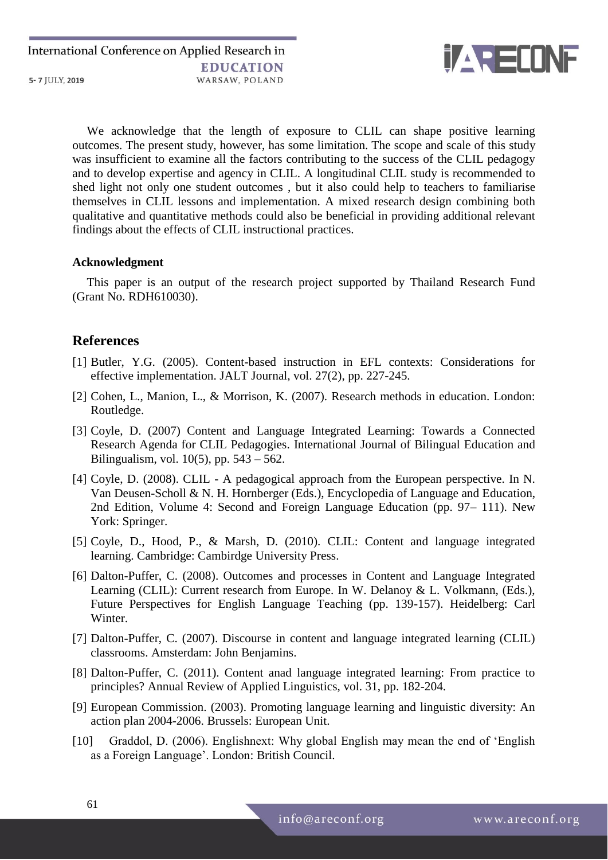

We acknowledge that the length of exposure to CLIL can shape positive learning outcomes. The present study, however, has some limitation. The scope and scale of this study was insufficient to examine all the factors contributing to the success of the CLIL pedagogy and to develop expertise and agency in CLIL. A longitudinal CLIL study is recommended to shed light not only one student outcomes , but it also could help to teachers to familiarise themselves in CLIL lessons and implementation. A mixed research design combining both qualitative and quantitative methods could also be beneficial in providing additional relevant findings about the effects of CLIL instructional practices.

#### **Acknowledgment**

This paper is an output of the research project supported by Thailand Research Fund (Grant No. RDH610030).

## **References**

- [1] Butler, Y.G. (2005). Content-based instruction in EFL contexts: Considerations for effective implementation. JALT Journal, vol. 27(2), pp. 227-245.
- [2] Cohen, L., Manion, L., & Morrison, K. (2007). Research methods in education. London: Routledge.
- [3] Coyle, D. (2007) Content and Language Integrated Learning: Towards a Connected Research Agenda for CLIL Pedagogies. International Journal of Bilingual Education and Bilingualism, vol. 10(5), pp. 543 – 562.
- [4] Coyle, D. (2008). CLIL A pedagogical approach from the European perspective. In N. Van Deusen-Scholl & N. H. Hornberger (Eds.), Encyclopedia of Language and Education, 2nd Edition, Volume 4: Second and Foreign Language Education (pp. 97– 111). New York: Springer.
- [5] Coyle, D., Hood, P., & Marsh, D. (2010). CLIL: Content and language integrated learning. Cambridge: Cambirdge University Press.
- [6] Dalton-Puffer, C. (2008). Outcomes and processes in Content and Language Integrated Learning (CLIL): Current research from Europe. In W. Delanoy & L. Volkmann, (Eds.), Future Perspectives for English Language Teaching (pp. 139-157). Heidelberg: Carl Winter.
- [7] Dalton-Puffer, C. (2007). Discourse in content and language integrated learning (CLIL) classrooms. Amsterdam: John Benjamins.
- [8] Dalton-Puffer, C. (2011). Content anad language integrated learning: From practice to principles? Annual Review of Applied Linguistics, vol. 31, pp. 182-204.
- [9] European Commission. (2003). Promoting language learning and linguistic diversity: An action plan 2004-2006. Brussels: European Unit.
- [10] Graddol, D. (2006). Englishnext: Why global English may mean the end of 'English as a Foreign Language'. London: British Council.